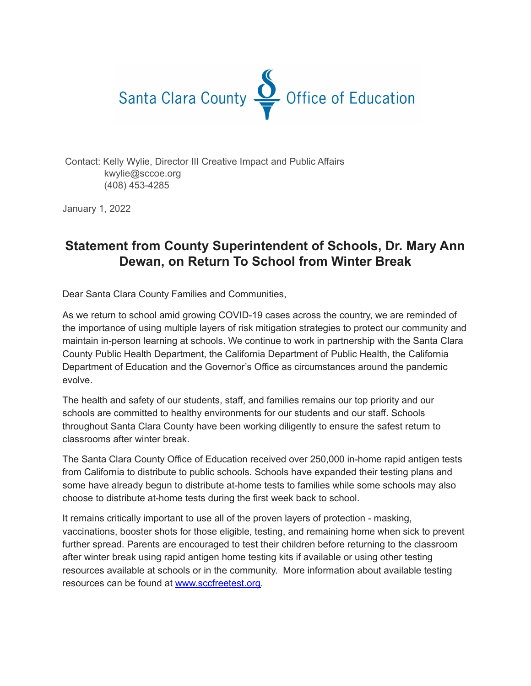

Contact: Kelly Wylie, Director III Creative Impact and Public Affairs kwylie@sccoe.org (408) 453-4285

January 1, 2022

## **Statement from County Superintendent of Schools, Dr. Mary Ann Dewan, on Return To School from Winter Break**

Dear Santa Clara County Families and Communities,

As we return to school amid growing COVID-19 cases across the country, we are reminded of the importance of using multiple layers of risk mitigation strategies to protect our community and maintain in-person learning at schools. We continue to work in partnership with the Santa Clara County Public Health Department, the California Department of Public Health, the California Department of Education and the Governor's Office as circumstances around the pandemic evolve.

The health and safety of our students, staff, and families remains our top priority and our schools are committed to healthy environments for our students and our staff. Schools throughout Santa Clara County have been working diligently to ensure the safest return to classrooms after winter break.

The Santa Clara County Office of Education received over 250,000 in-home rapid antigen tests from California to distribute to public schools. Schools have expanded their testing plans and some have already begun to distribute at-home tests to families while some schools may also choose to distribute at-home tests during the first week back to school.

It remains critically important to use all of the proven layers of protection - masking, vaccinations, booster shots for those eligible, testing, and remaining home when sick to prevent further spread. Parents are encouraged to test their children before returning to the classroom after winter break using rapid antigen home testing kits if available or using other testing resources available at schools or in the community. More information about available testing resources can be found at [www.sccfreetest.org.](http://www.sccfreetest.org)